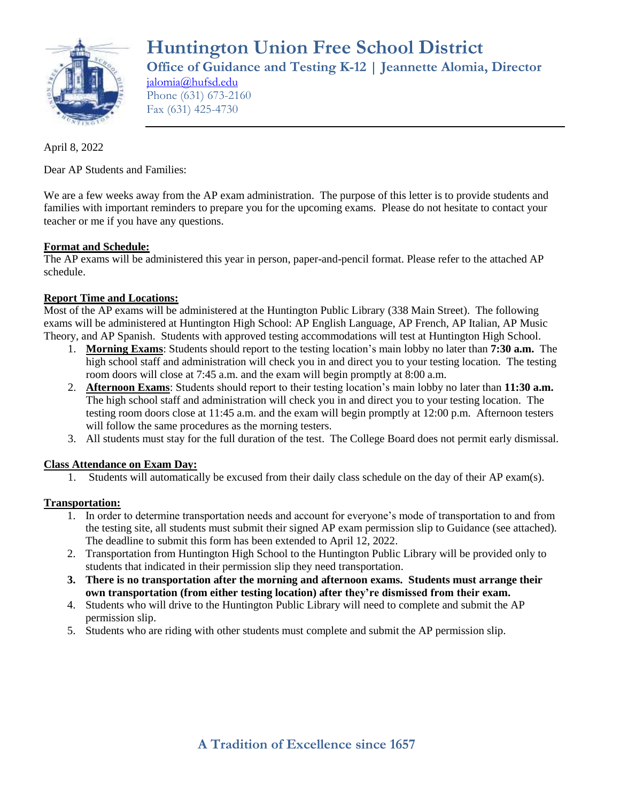

**Huntington Union Free School District Office of Guidance and Testing K-12 | Jeannette Alomia, Director** [jalomia@hufsd.edu](mailto:jalomia@hufsd.edu) Phone (631) 673-2160

April 8, 2022

Dear AP Students and Families:

Fax (631) 425-4730

We are a few weeks away from the AP exam administration. The purpose of this letter is to provide students and families with important reminders to prepare you for the upcoming exams. Please do not hesitate to contact your teacher or me if you have any questions.

# **Format and Schedule:**

The AP exams will be administered this year in person, paper-and-pencil format. Please refer to the attached AP schedule.

# **Report Time and Locations:**

Most of the AP exams will be administered at the Huntington Public Library (338 Main Street). The following exams will be administered at Huntington High School: AP English Language, AP French, AP Italian, AP Music Theory, and AP Spanish. Students with approved testing accommodations will test at Huntington High School.

- 1. **Morning Exams**: Students should report to the testing location's main lobby no later than **7:30 a.m.** The high school staff and administration will check you in and direct you to your testing location. The testing room doors will close at 7:45 a.m. and the exam will begin promptly at 8:00 a.m.
- 2. **Afternoon Exams**: Students should report to their testing location's main lobby no later than **11:30 a.m.** The high school staff and administration will check you in and direct you to your testing location. The testing room doors close at 11:45 a.m. and the exam will begin promptly at 12:00 p.m. Afternoon testers will follow the same procedures as the morning testers.
- 3. All students must stay for the full duration of the test. The College Board does not permit early dismissal.

#### **Class Attendance on Exam Day:**

1. Students will automatically be excused from their daily class schedule on the day of their AP exam(s).

#### **Transportation:**

- 1. In order to determine transportation needs and account for everyone's mode of transportation to and from the testing site, all students must submit their signed AP exam permission slip to Guidance (see attached). The deadline to submit this form has been extended to April 12, 2022.
- 2. Transportation from Huntington High School to the Huntington Public Library will be provided only to students that indicated in their permission slip they need transportation.
- **3. There is no transportation after the morning and afternoon exams. Students must arrange their own transportation (from either testing location) after they're dismissed from their exam.**
- 4. Students who will drive to the Huntington Public Library will need to complete and submit the AP permission slip.
- 5. Students who are riding with other students must complete and submit the AP permission slip.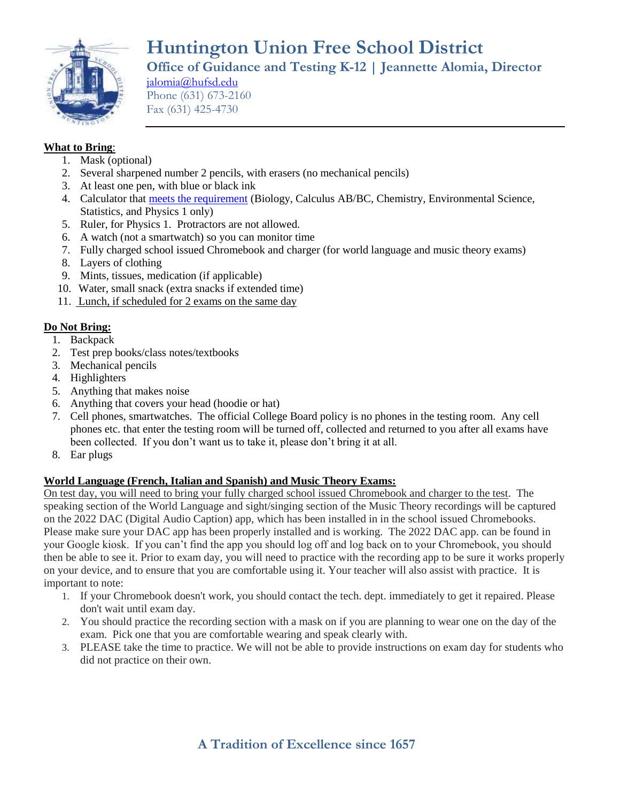

# **Huntington Union Free School District Office of Guidance and Testing K-12 | Jeannette Alomia, Director**

[jalomia@hufsd.edu](mailto:jalomia@hufsd.edu) Phone (631) 673-2160 Fax (631) 425-4730

# **What to Bring**:

- 1. Mask (optional)
- 2. Several sharpened number 2 pencils, with erasers (no mechanical pencils)
- 3. At least one pen, with blue or black ink
- 4. Calculator that [meets the requirement](https://apstudents.collegeboard.org/exam-policies-guidelines/calculator-policies) (Biology, Calculus AB/BC, Chemistry, Environmental Science, Statistics, and Physics 1 only)
- 5. Ruler, for Physics 1. Protractors are not allowed.
- 6. A watch (not a smartwatch) so you can monitor time
- 7. Fully charged school issued Chromebook and charger (for world language and music theory exams)
- 8. Layers of clothing
- 9. Mints, tissues, medication (if applicable)
- 10. Water, small snack (extra snacks if extended time)
- 11. Lunch, if scheduled for 2 exams on the same day

# **Do Not Bring:**

- 1. Backpack
- 2. Test prep books/class notes/textbooks
- 3. Mechanical pencils
- 4. Highlighters
- 5. Anything that makes noise
- 6. Anything that covers your head (hoodie or hat)
- 7. Cell phones, smartwatches. The official College Board policy is no phones in the testing room. Any cell phones etc. that enter the testing room will be turned off, collected and returned to you after all exams have been collected. If you don't want us to take it, please don't bring it at all.
- 8. Ear plugs

# **World Language (French, Italian and Spanish) and Music Theory Exams:**

On test day, you will need to bring your fully charged school issued Chromebook and charger to the test. The speaking section of the World Language and sight/singing section of the Music Theory recordings will be captured on the 2022 DAC (Digital Audio Caption) app, which has been installed in in the school issued Chromebooks. Please make sure your DAC app has been properly installed and is working. The 2022 DAC app. can be found in your Google kiosk. If you can't find the app you should log off and log back on to your Chromebook, you should then be able to see it. Prior to exam day, you will need to practice with the recording app to be sure it works properly on your device, and to ensure that you are comfortable using it. Your teacher will also assist with practice. It is important to note:

- 1. If your Chromebook doesn't work, you should contact the tech. dept. immediately to get it repaired. Please don't wait until exam day.
- 2. You should practice the recording section with a mask on if you are planning to wear one on the day of the exam. Pick one that you are comfortable wearing and speak clearly with.
- 3. PLEASE take the time to practice. We will not be able to provide instructions on exam day for students who did not practice on their own.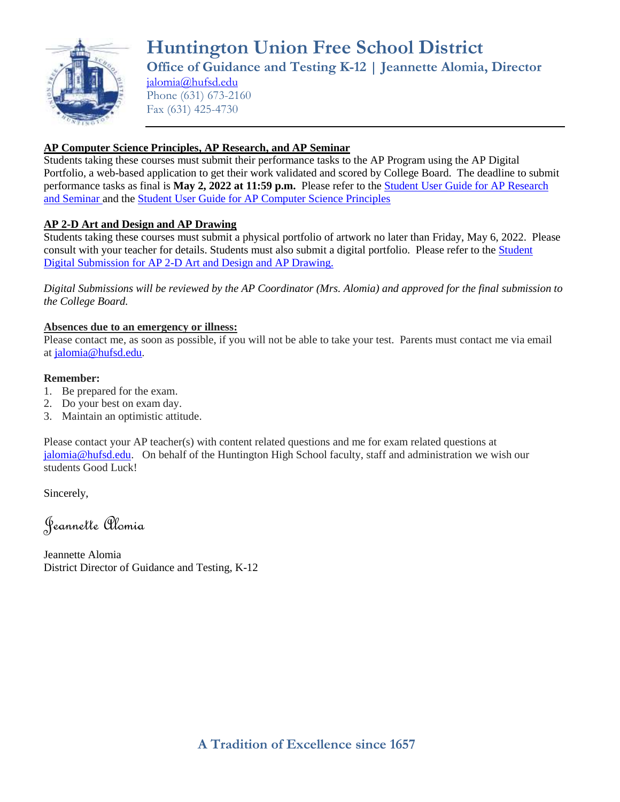

**Huntington Union Free School District Office of Guidance and Testing K-12 | Jeannette Alomia, Director** [jalomia@hufsd.edu](mailto:jalomia@hufsd.edu)

Phone (631) 673-2160 Fax (631) 425-4730

# **AP Computer Science Principles, AP Research, and AP Seminar**

Students taking these courses must submit their performance tasks to the AP Program using the AP Digital Portfolio, a web-based application to get their work validated and scored by College Board. The deadline to submit performance tasks as final is **May 2, 2022 at 11:59 p.m.** Please refer to the [Student User Guide for AP Research](https://apcentral.collegeboard.org/pdf/ap-capstone-digital-portfolio-student-user-guide.pdf)  [and Seminar a](https://apcentral.collegeboard.org/pdf/ap-capstone-digital-portfolio-student-user-guide.pdf)nd the [Student User Guide for AP Computer Science Principles](https://apcentral.collegeboard.org/pdf/digital-portfolio-student-user-guide-ap-csp.pdf?course=ap-computer-science-principles)

# **AP 2-D Art and Design and AP Drawing**

Students taking these courses must submit a physical portfolio of artwork no later than Friday, May 6, 2022. Please consult with your teacher for details. Students must also submit a digital portfolio. Please refer to the **Student** [Digital Submission for AP 2-D Art and Design and AP Drawing.](https://apstudents.collegeboard.org/digital-portfolios/submit-ap-art-design-work)

*Digital Submissions will be reviewed by the AP Coordinator (Mrs. Alomia) and approved for the final submission to the College Board.*

#### **Absences due to an emergency or illness:**

Please contact me, as soon as possible, if you will not be able to take your test. Parents must contact me via email at [jalomia@hufsd.edu.](mailto:jalomia@hufsd.edu)

#### **Remember:**

- 1. Be prepared for the exam.
- 2. Do your best on exam day.
- 3. Maintain an optimistic attitude.

Please contact your AP teacher(s) with content related questions and me for exam related questions at [jalomia@hufsd.edu.](mailto:jalomia@hufsd.edu) On behalf of the Huntington High School faculty, staff and administration we wish our students Good Luck!

Sincerely,

Jeannette Alomia

Jeannette Alomia District Director of Guidance and Testing, K-12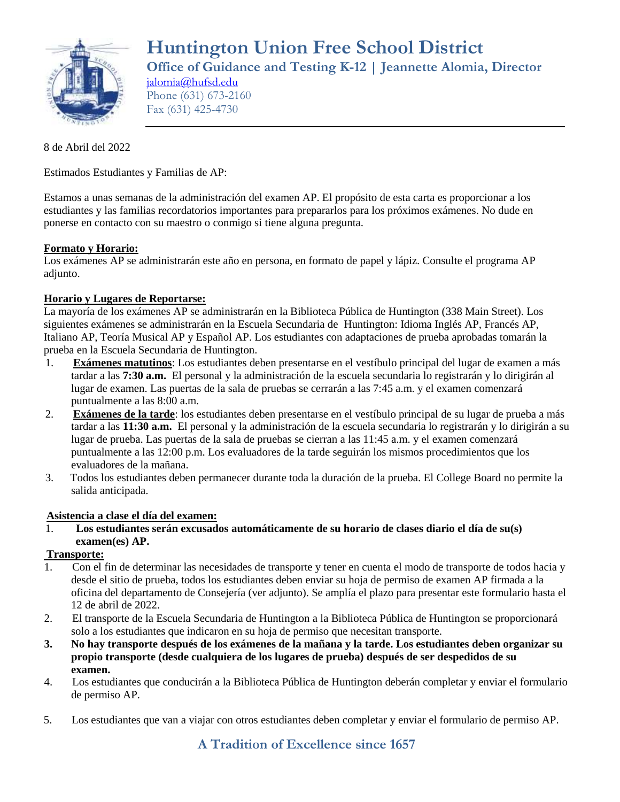

**Huntington Union Free School District Office of Guidance and Testing K-12 | Jeannette Alomia, Director** [jalomia@hufsd.edu](mailto:jalomia@hufsd.edu)

Phone (631) 673-2160 Fax (631) 425-4730

# 8 de Abril del 2022

Estimados Estudiantes y Familias de AP:

Estamos a unas semanas de la administración del examen AP. El propósito de esta carta es proporcionar a los estudiantes y las familias recordatorios importantes para prepararlos para los próximos exámenes. No dude en ponerse en contacto con su maestro o conmigo si tiene alguna pregunta.

# **Formato y Horario:**

Los exámenes AP se administrarán este año en persona, en formato de papel y lápiz. Consulte el programa AP adjunto.

#### **Horario y Lugares de Reportarse:**

La mayoría de los exámenes AP se administrarán en la Biblioteca Pública de Huntington (338 Main Street). Los siguientes exámenes se administrarán en la Escuela Secundaria de Huntington: Idioma Inglés AP, Francés AP, Italiano AP, Teoría Musical AP y Español AP. Los estudiantes con adaptaciones de prueba aprobadas tomarán la prueba en la Escuela Secundaria de Huntington.

- 1. **Exámenes matutinos**: Los estudiantes deben presentarse en el vestíbulo principal del lugar de examen a más tardar a las **7:30 a.m.** El personal y la administración de la escuela secundaria lo registrarán y lo dirigirán al lugar de examen. Las puertas de la sala de pruebas se cerrarán a las 7:45 a.m. y el examen comenzará puntualmente a las 8:00 a.m.
- 2. **Exámenes de la tarde**: los estudiantes deben presentarse en el vestíbulo principal de su lugar de prueba a más tardar a las **11:30 a.m.** El personal y la administración de la escuela secundaria lo registrarán y lo dirigirán a su lugar de prueba. Las puertas de la sala de pruebas se cierran a las 11:45 a.m. y el examen comenzará puntualmente a las 12:00 p.m. Los evaluadores de la tarde seguirán los mismos procedimientos que los evaluadores de la mañana.
- 3. Todos los estudiantes deben permanecer durante toda la duración de la prueba. El College Board no permite la salida anticipada.

#### **Asistencia a clase el día del examen:**

1. **Los estudiantes serán excusados automáticamente de su horario de clases diario el día de su(s) examen(es) AP.**

# **Transporte:**

- 1. Con el fin de determinar las necesidades de transporte y tener en cuenta el modo de transporte de todos hacia y desde el sitio de prueba, todos los estudiantes deben enviar su hoja de permiso de examen AP firmada a la oficina del departamento de Consejería (ver adjunto). Se amplía el plazo para presentar este formulario hasta el 12 de abril de 2022.
- 2. El transporte de la Escuela Secundaria de Huntington a la Biblioteca Pública de Huntington se proporcionará solo a los estudiantes que indicaron en su hoja de permiso que necesitan transporte.
- **3. No hay transporte después de los exámenes de la mañana y la tarde. Los estudiantes deben organizar su propio transporte (desde cualquiera de los lugares de prueba) después de ser despedidos de su examen.**
- 4. Los estudiantes que conducirán a la Biblioteca Pública de Huntington deberán completar y enviar el formulario de permiso AP.
- 5. Los estudiantes que van a viajar con otros estudiantes deben completar y enviar el formulario de permiso AP.

# **A Tradition of Excellence since 1657**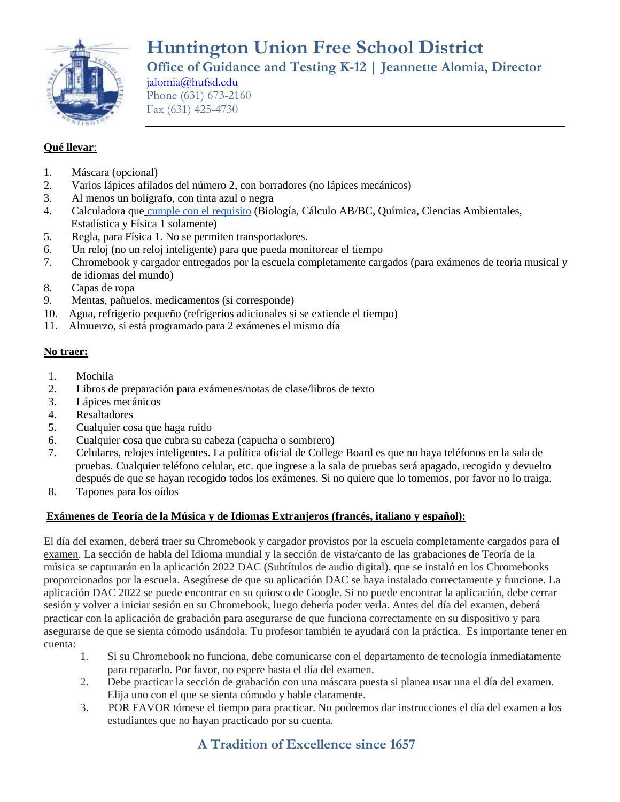

**Huntington Union Free School District Office of Guidance and Testing K-12 | Jeannette Alomia, Director**

[jalomia@hufsd.edu](mailto:jalomia@hufsd.edu) Phone (631) 673-2160 Fax (631) 425-4730

# **Qué llevar**:

- 1. Máscara (opcional)
- 2. Varios lápices afilados del número 2, con borradores (no lápices mecánicos)
- 3. Al menos un bolígrafo, con tinta azul o negra
- 4. Calculadora que [cumple con el requisito](https://apstudents.collegeboard.org/exam-policies-guidelines/calculator-policies) (Biología, Cálculo AB/BC, Química, Ciencias Ambientales, Estadística y Física 1 solamente)
- 5. Regla, para Física 1. No se permiten transportadores.
- 6. Un reloj (no un reloj inteligente) para que pueda monitorear el tiempo
- 7. Chromebook y cargador entregados por la escuela completamente cargados (para exámenes de teoría musical y de idiomas del mundo)
- 8. Capas de ropa
- 9. Mentas, pañuelos, medicamentos (si corresponde)
- 10. Agua, refrigerio pequeño (refrigerios adicionales si se extiende el tiempo)
- 11. Almuerzo, si está programado para 2 exámenes el mismo día

#### **No traer:**

- 1. Mochila
- 2. Libros de preparación para exámenes/notas de clase/libros de texto
- 3. Lápices mecánicos
- 4. Resaltadores
- 5. Cualquier cosa que haga ruido
- 6. Cualquier cosa que cubra su cabeza (capucha o sombrero)
- 7. Celulares, relojes inteligentes. La política oficial de College Board es que no haya teléfonos en la sala de pruebas. Cualquier teléfono celular, etc. que ingrese a la sala de pruebas será apagado, recogido y devuelto después de que se hayan recogido todos los exámenes. Si no quiere que lo tomemos, por favor no lo traiga.
- 8. Tapones para los oídos

#### **Exámenes de Teoría de la Música y de Idiomas Extranjeros (francés, italiano y español):**

El día del examen, deberá traer su Chromebook y cargador provistos por la escuela completamente cargados para el examen. La sección de habla del Idioma mundial y la sección de vista/canto de las grabaciones de Teoría de la música se capturarán en la aplicación 2022 DAC (Subtítulos de audio digital), que se instaló en los Chromebooks proporcionados por la escuela. Asegúrese de que su aplicación DAC se haya instalado correctamente y funcione. La aplicación DAC 2022 se puede encontrar en su quiosco de Google. Si no puede encontrar la aplicación, debe cerrar sesión y volver a iniciar sesión en su Chromebook, luego debería poder verla. Antes del día del examen, deberá practicar con la aplicación de grabación para asegurarse de que funciona correctamente en su dispositivo y para asegurarse de que se sienta cómodo usándola. Tu profesor también te ayudará con la práctica. Es importante tener en cuenta:

- 1. Si su Chromebook no funciona, debe comunicarse con el departamento de tecnologia inmediatamente para repararlo. Por favor, no espere hasta el día del examen.
- 2. Debe practicar la sección de grabación con una máscara puesta si planea usar una el día del examen. Elija uno con el que se sienta cómodo y hable claramente.
- 3. POR FAVOR tómese el tiempo para practicar. No podremos dar instrucciones el día del examen a los estudiantes que no hayan practicado por su cuenta.

# **A Tradition of Excellence since 1657**